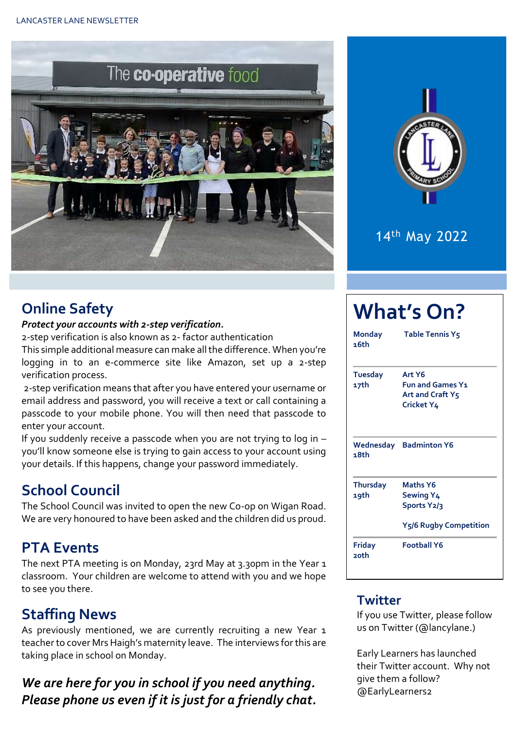

# 14th May 2022

# **Online Safety**

#### *Protect your accounts with 2-step verification.*

2-step verification is also known as 2- factor authentication This simple additional measure can make all the difference. When you're logging in to an e-commerce site like Amazon, set up a 2-step verification process.

2-step verification means that after you have entered your username or email address and password, you will receive a text or call containing a passcode to your mobile phone. You will then need that passcode to enter your account.

If you suddenly receive a passcode when you are not trying to log in – you'll know someone else is trying to gain access to your account using your details. If this happens, change your password immediately.

# **School Council**

The School Council was invited to open the new Co-op on Wigan Road. We are very honoured to have been asked and the children did us proud.

### **PTA Events**

The next PTA meeting is on Monday, 23rd May at 3.30pm in the Year 1 classroom. Your children are welcome to attend with you and we hope to see you there.

# **Staffing News**

As previously mentioned, we are currently recruiting a new Year 1 teacher to cover Mrs Haigh's maternity leave. The interviews for this are taking place in school on Monday.

### *We are here for you in school if you need anything. Please phone us even if it is just for a friendly chat.*

| <b>What's On?</b>       |                                                                              |  |  |  |  |
|-------------------------|------------------------------------------------------------------------------|--|--|--|--|
| Monday<br>16th          | <b>Table Tennis Y5</b>                                                       |  |  |  |  |
| Tuesday<br>17th         | Art Y6<br><b>Fun and Games Y1</b><br>Art and Craft Y5<br>Cricket Y4          |  |  |  |  |
| 18th                    | <b>Wednesday Badminton Y6</b>                                                |  |  |  |  |
| <b>Thursday</b><br>19th | <b>Maths Y6</b><br><b>Sewing Y4</b><br>Sports Y2/3<br>Y5/6 Rugby Competition |  |  |  |  |
| Friday<br><b>poth</b>   | <b>Football Y6</b>                                                           |  |  |  |  |

#### **Twitter**

If you use Twitter, please follow us on Twitter (@lancylane.)

Early Learners has launched their Twitter account. Why not give them a follow? @EarlyLearners2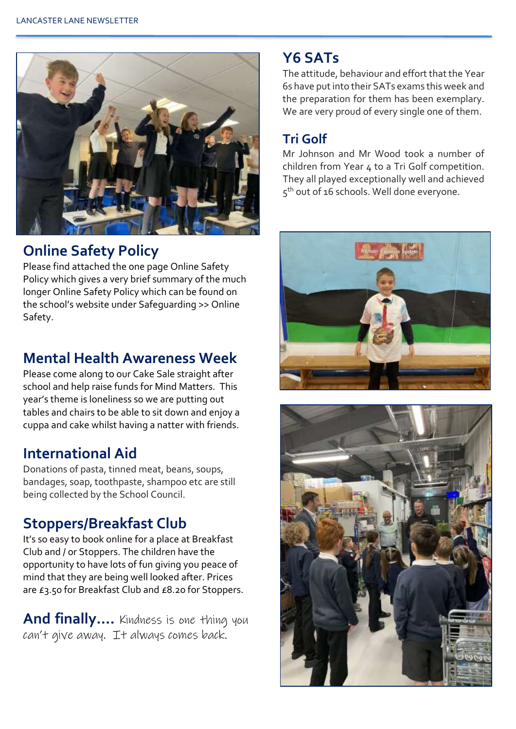

## **Online Safety Policy**

Please find attached the one page Online Safety Policy which gives a very brief summary of the much longer Online Safety Policy which can be found on the school's website under Safeguarding >> Online Safety.

#### **Mental Health Awareness Week**

Please come along to our Cake Sale straight after school and help raise funds for Mind Matters. This year's theme is loneliness so we are putting out tables and chairs to be able to sit down and enjoy a cuppa and cake whilst having a natter with friends.

#### **International Aid**

Donations of pasta, tinned meat, beans, soups, bandages, soap, toothpaste, shampoo etc are still being collected by the School Council.

### **Stoppers/Breakfast Club**

It's so easy to book online for a place at Breakfast Club and / or Stoppers. The children have the opportunity to have lots of fun giving you peace of mind that they are being well looked after. Prices are £3.50 for Breakfast Club and £8.20 for Stoppers.

**And finally….** Kindness is one thing you can't give away. It always comes back.

#### **Y6 SATs**

The attitude, behaviour and effort that the Year 6s have put into their SATs exams this week and the preparation for them has been exemplary. We are very proud of every single one of them.

#### **Tri Golf**

Mr Johnson and Mr Wood took a number of children from Year  $\Delta$  to a Tri Golf competition. They all played exceptionally well and achieved 5<sup>th</sup> out of 16 schools. Well done everyone.